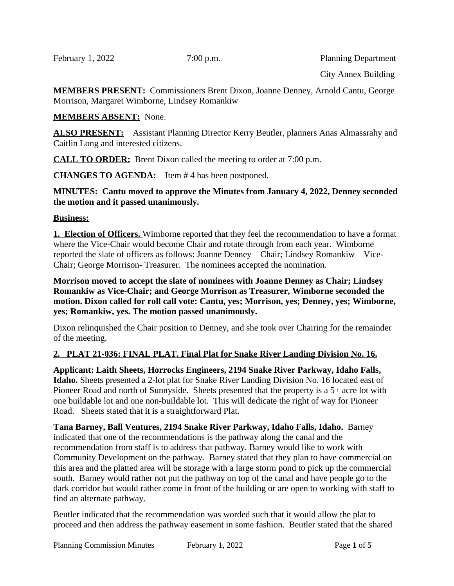February 1, 2022 7:00 p.m. Planning Department

City Annex Building

**MEMBERS PRESENT:** Commissioners Brent Dixon, Joanne Denney, Arnold Cantu, George Morrison, Margaret Wimborne, Lindsey Romankiw

## **MEMBERS ABSENT:** None.

**ALSO PRESENT:** Assistant Planning Director Kerry Beutler, planners Anas Almassrahy and Caitlin Long and interested citizens.

**CALL TO ORDER:** Brent Dixon called the meeting to order at 7:00 p.m.

**CHANGES TO AGENDA:** Item # 4 has been postponed.

### **MINUTES: Cantu moved to approve the Minutes from January 4, 2022, Denney seconded the motion and it passed unanimously.**

## **Business:**

**1. Election of Officers.** Wimborne reported that they feel the recommendation to have a format where the Vice-Chair would become Chair and rotate through from each year. Wimborne reported the slate of officers as follows: Joanne Denney – Chair; Lindsey Romankiw – Vice-Chair; George Morrison- Treasurer. The nominees accepted the nomination.

**Morrison moved to accept the slate of nominees with Joanne Denney as Chair; Lindsey Romankiw as Vice-Chair; and George Morrison as Treasurer, Wimborne seconded the motion. Dixon called for roll call vote: Cantu, yes; Morrison, yes; Denney, yes; Wimborne, yes; Romankiw, yes. The motion passed unanimously.** 

Dixon relinquished the Chair position to Denney, and she took over Chairing for the remainder of the meeting.

## **2. PLAT 21-036: FINAL PLAT. Final Plat for Snake River Landing Division No. 16.**

**Applicant: Laith Sheets, Horrocks Engineers, 2194 Snake River Parkway, Idaho Falls, Idaho.** Sheets presented a 2-lot plat for Snake River Landing Division No. 16 located east of Pioneer Road and north of Sunnyside. Sheets presented that the property is a 5+ acre lot with one buildable lot and one non-buildable lot. This will dedicate the right of way for Pioneer Road. Sheets stated that it is a straightforward Plat.

**Tana Barney, Ball Ventures, 2194 Snake River Parkway, Idaho Falls, Idaho.** Barney indicated that one of the recommendations is the pathway along the canal and the recommendation from staff is to address that pathway. Barney would like to work with Community Development on the pathway. Barney stated that they plan to have commercial on this area and the platted area will be storage with a large storm pond to pick up the commercial south. Barney would rather not put the pathway on top of the canal and have people go to the dark corridor but would rather come in front of the building or are open to working with staff to find an alternate pathway.

Beutler indicated that the recommendation was worded such that it would allow the plat to proceed and then address the pathway easement in some fashion. Beutler stated that the shared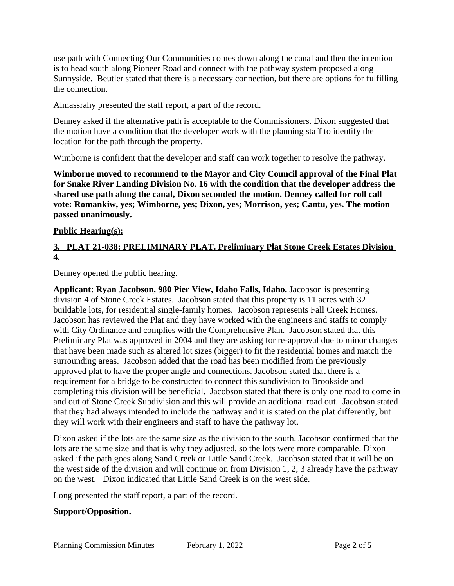use path with Connecting Our Communities comes down along the canal and then the intention is to head south along Pioneer Road and connect with the pathway system proposed along Sunnyside. Beutler stated that there is a necessary connection, but there are options for fulfilling the connection.

Almassrahy presented the staff report, a part of the record.

Denney asked if the alternative path is acceptable to the Commissioners. Dixon suggested that the motion have a condition that the developer work with the planning staff to identify the location for the path through the property.

Wimborne is confident that the developer and staff can work together to resolve the pathway.

**Wimborne moved to recommend to the Mayor and City Council approval of the Final Plat for Snake River Landing Division No. 16 with the condition that the developer address the shared use path along the canal, Dixon seconded the motion. Denney called for roll call vote: Romankiw, yes; Wimborne, yes; Dixon, yes; Morrison, yes; Cantu, yes. The motion passed unanimously.** 

## **Public Hearing(s):**

# **3. PLAT 21-038: PRELIMINARY PLAT. Preliminary Plat Stone Creek Estates Division 4.**

Denney opened the public hearing.

**Applicant: Ryan Jacobson, 980 Pier View, Idaho Falls, Idaho.** Jacobson is presenting division 4 of Stone Creek Estates. Jacobson stated that this property is 11 acres with 32 buildable lots, for residential single-family homes. Jacobson represents Fall Creek Homes. Jacobson has reviewed the Plat and they have worked with the engineers and staffs to comply with City Ordinance and complies with the Comprehensive Plan. Jacobson stated that this Preliminary Plat was approved in 2004 and they are asking for re-approval due to minor changes that have been made such as altered lot sizes (bigger) to fit the residential homes and match the surrounding areas. Jacobson added that the road has been modified from the previously approved plat to have the proper angle and connections. Jacobson stated that there is a requirement for a bridge to be constructed to connect this subdivision to Brookside and completing this division will be beneficial. Jacobson stated that there is only one road to come in and out of Stone Creek Subdivision and this will provide an additional road out. Jacobson stated that they had always intended to include the pathway and it is stated on the plat differently, but they will work with their engineers and staff to have the pathway lot.

Dixon asked if the lots are the same size as the division to the south. Jacobson confirmed that the lots are the same size and that is why they adjusted, so the lots were more comparable. Dixon asked if the path goes along Sand Creek or Little Sand Creek. Jacobson stated that it will be on the west side of the division and will continue on from Division 1, 2, 3 already have the pathway on the west. Dixon indicated that Little Sand Creek is on the west side.

Long presented the staff report, a part of the record.

## **Support/Opposition.**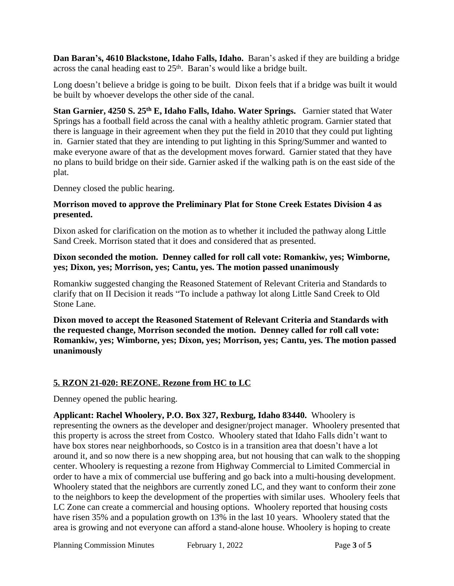**Dan Baran's, 4610 Blackstone, Idaho Falls, Idaho.** Baran's asked if they are building a bridge across the canal heading east to 25<sup>th</sup>. Baran's would like a bridge built.

Long doesn't believe a bridge is going to be built. Dixon feels that if a bridge was built it would be built by whoever develops the other side of the canal.

**Stan Garnier, 4250 S. 25th E, Idaho Falls, Idaho. Water Springs.** Garnier stated that Water Springs has a football field across the canal with a healthy athletic program. Garnier stated that there is language in their agreement when they put the field in 2010 that they could put lighting in. Garnier stated that they are intending to put lighting in this Spring/Summer and wanted to make everyone aware of that as the development moves forward. Garnier stated that they have no plans to build bridge on their side. Garnier asked if the walking path is on the east side of the plat.

Denney closed the public hearing.

#### **Morrison moved to approve the Preliminary Plat for Stone Creek Estates Division 4 as presented.**

Dixon asked for clarification on the motion as to whether it included the pathway along Little Sand Creek. Morrison stated that it does and considered that as presented.

#### **Dixon seconded the motion. Denney called for roll call vote: Romankiw, yes; Wimborne, yes; Dixon, yes; Morrison, yes; Cantu, yes. The motion passed unanimously**

Romankiw suggested changing the Reasoned Statement of Relevant Criteria and Standards to clarify that on II Decision it reads "To include a pathway lot along Little Sand Creek to Old Stone Lane.

**Dixon moved to accept the Reasoned Statement of Relevant Criteria and Standards with the requested change, Morrison seconded the motion. Denney called for roll call vote: Romankiw, yes; Wimborne, yes; Dixon, yes; Morrison, yes; Cantu, yes. The motion passed unanimously**

# **5. RZON 21-020: REZONE. Rezone from HC to LC**

Denney opened the public hearing.

**Applicant: Rachel Whoolery, P.O. Box 327, Rexburg, Idaho 83440.** Whoolery is representing the owners as the developer and designer/project manager. Whoolery presented that this property is across the street from Costco. Whoolery stated that Idaho Falls didn't want to have box stores near neighborhoods, so Costco is in a transition area that doesn't have a lot around it, and so now there is a new shopping area, but not housing that can walk to the shopping center. Whoolery is requesting a rezone from Highway Commercial to Limited Commercial in order to have a mix of commercial use buffering and go back into a multi-housing development. Whoolery stated that the neighbors are currently zoned LC, and they want to conform their zone to the neighbors to keep the development of the properties with similar uses. Whoolery feels that LC Zone can create a commercial and housing options. Whoolery reported that housing costs have risen 35% and a population growth on 13% in the last 10 years. Whoolery stated that the area is growing and not everyone can afford a stand-alone house. Whoolery is hoping to create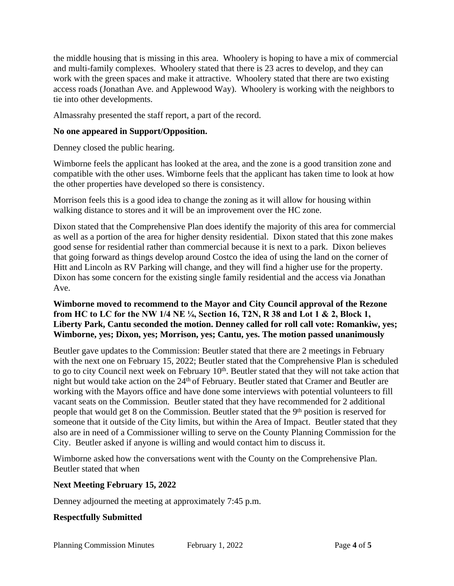the middle housing that is missing in this area. Whoolery is hoping to have a mix of commercial and multi-family complexes. Whoolery stated that there is 23 acres to develop, and they can work with the green spaces and make it attractive. Whoolery stated that there are two existing access roads (Jonathan Ave. and Applewood Way). Whoolery is working with the neighbors to tie into other developments.

Almassrahy presented the staff report, a part of the record.

## **No one appeared in Support/Opposition.**

Denney closed the public hearing.

Wimborne feels the applicant has looked at the area, and the zone is a good transition zone and compatible with the other uses. Wimborne feels that the applicant has taken time to look at how the other properties have developed so there is consistency.

Morrison feels this is a good idea to change the zoning as it will allow for housing within walking distance to stores and it will be an improvement over the HC zone.

Dixon stated that the Comprehensive Plan does identify the majority of this area for commercial as well as a portion of the area for higher density residential. Dixon stated that this zone makes good sense for residential rather than commercial because it is next to a park. Dixon believes that going forward as things develop around Costco the idea of using the land on the corner of Hitt and Lincoln as RV Parking will change, and they will find a higher use for the property. Dixon has some concern for the existing single family residential and the access via Jonathan Ave.

### **Wimborne moved to recommend to the Mayor and City Council approval of the Rezone from HC to LC for the NW 1/4 NE ¼, Section 16, T2N, R 38 and Lot 1 & 2, Block 1, Liberty Park, Cantu seconded the motion. Denney called for roll call vote: Romankiw, yes; Wimborne, yes; Dixon, yes; Morrison, yes; Cantu, yes. The motion passed unanimously**

Beutler gave updates to the Commission: Beutler stated that there are 2 meetings in February with the next one on February 15, 2022; Beutler stated that the Comprehensive Plan is scheduled to go to city Council next week on February  $10<sup>th</sup>$ . Beutler stated that they will not take action that night but would take action on the 24<sup>th</sup> of February. Beutler stated that Cramer and Beutler are working with the Mayors office and have done some interviews with potential volunteers to fill vacant seats on the Commission. Beutler stated that they have recommended for 2 additional people that would get 8 on the Commission. Beutler stated that the 9<sup>th</sup> position is reserved for someone that it outside of the City limits, but within the Area of Impact. Beutler stated that they also are in need of a Commissioner willing to serve on the County Planning Commission for the City. Beutler asked if anyone is willing and would contact him to discuss it.

Wimborne asked how the conversations went with the County on the Comprehensive Plan. Beutler stated that when

## **Next Meeting February 15, 2022**

Denney adjourned the meeting at approximately 7:45 p.m.

## **Respectfully Submitted**